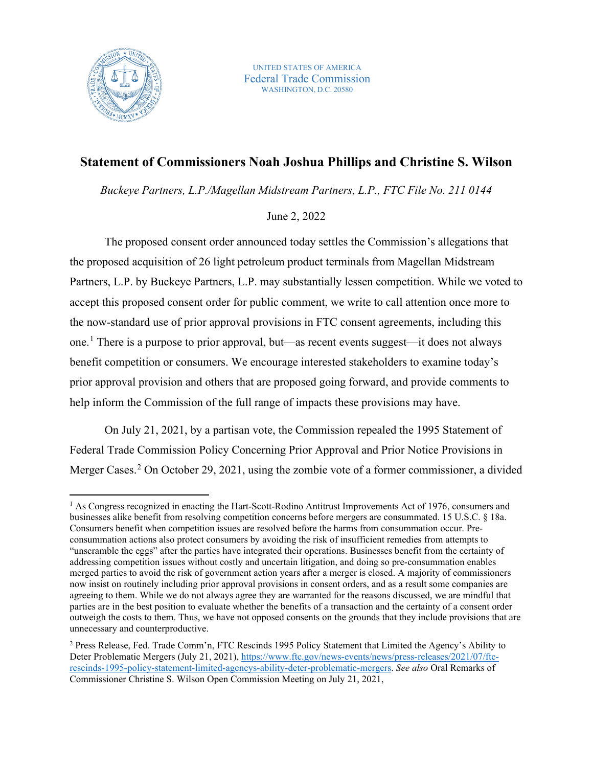

UNITED STATES OF AMERICA Federal Trade Commission WASHINGTON, D.C. 20580

## **Statement of Commissioners Noah Joshua Phillips and Christine S. Wilson**

*Buckeye Partners, L.P./Magellan Midstream Partners, L.P., FTC File No. 211 0144* 

## June 2, 2022

The proposed consent order announced today settles the Commission's allegations that the proposed acquisition of 26 light petroleum product terminals from Magellan Midstream Partners, L.P. by Buckeye Partners, L.P. may substantially lessen competition. While we voted to accept this proposed consent order for public comment, we write to call attention once more to the now-standard use of prior approval provisions in FTC consent agreements, including this one.[1](#page-0-0) There is a purpose to prior approval, but—as recent events suggest—it does not always benefit competition or consumers. We encourage interested stakeholders to examine today's prior approval provision and others that are proposed going forward, and provide comments to help inform the Commission of the full range of impacts these provisions may have.

On July 21, 2021, by a partisan vote, the Commission repealed the 1995 Statement of Federal Trade Commission Policy Concerning Prior Approval and Prior Notice Provisions in Merger Cases.<sup>[2](#page-0-1)</sup> On October 29, 2021, using the zombie vote of a former commissioner, a divided

<span id="page-0-0"></span><sup>&</sup>lt;sup>1</sup> As Congress recognized in enacting the Hart-Scott-Rodino Antitrust Improvements Act of 1976, consumers and businesses alike benefit from resolving competition concerns before mergers are consummated. 15 U.S.C. § 18a. Consumers benefit when competition issues are resolved before the harms from consummation occur. Preconsummation actions also protect consumers by avoiding the risk of insufficient remedies from attempts to "unscramble the eggs" after the parties have integrated their operations. Businesses benefit from the certainty of addressing competition issues without costly and uncertain litigation, and doing so pre-consummation enables merged parties to avoid the risk of government action years after a merger is closed. A majority of commissioners now insist on routinely including prior approval provisions in consent orders, and as a result some companies are agreeing to them. While we do not always agree they are warranted for the reasons discussed, we are mindful that parties are in the best position to evaluate whether the benefits of a transaction and the certainty of a consent order outweigh the costs to them. Thus, we have not opposed consents on the grounds that they include provisions that are unnecessary and counterproductive.

<span id="page-0-1"></span><sup>2</sup> Press Release, Fed. Trade Comm'n, FTC Rescinds 1995 Policy Statement that Limited the Agency's Ability to Deter Problematic Mergers (July 21, 2021), [https://www.ftc.gov/news-events/news/press-releases/2021/07/ftc](https://www.ftc.gov/news-events/news/press-releases/2021/07/ftc-rescinds-1995-policy-statement-limited-agencys-ability-deter-problematic-mergers)[rescinds-1995-policy-statement-limited-agencys-ability-deter-problematic-mergers.](https://www.ftc.gov/news-events/news/press-releases/2021/07/ftc-rescinds-1995-policy-statement-limited-agencys-ability-deter-problematic-mergers) *See also* Oral Remarks of Commissioner Christine S. Wilson Open Commission Meeting on July 21, 2021,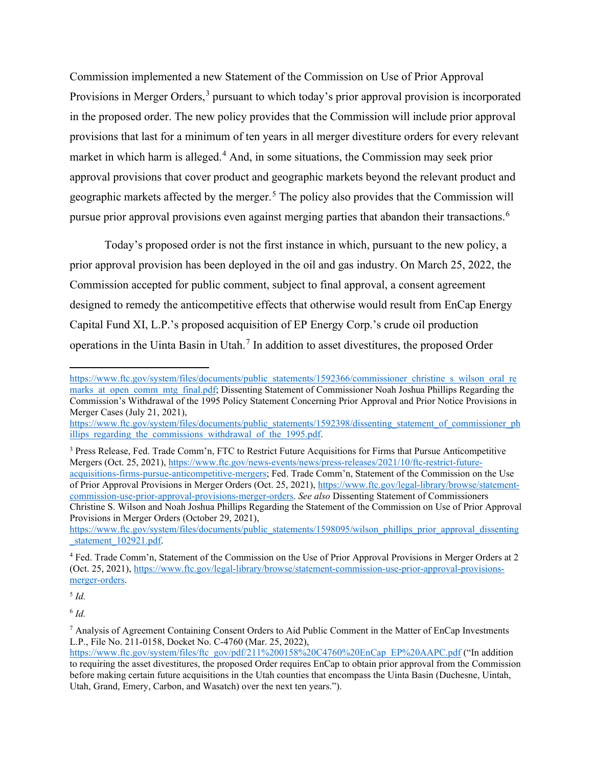Commission implemented a new Statement of the Commission on Use of Prior Approval Provisions in Merger Orders,<sup>[3](#page-1-0)</sup> pursuant to which today's prior approval provision is incorporated in the proposed order. The new policy provides that the Commission will include prior approval provisions that last for a minimum of ten years in all merger divestiture orders for every relevant market in which harm is alleged.<sup>[4](#page-1-1)</sup> And, in some situations, the Commission may seek prior approval provisions that cover product and geographic markets beyond the relevant product and geographic markets affected by the merger.<sup>[5](#page-1-2)</sup> The policy also provides that the Commission will pursue prior approval provisions even against merging parties that abandon their transactions.<sup>[6](#page-1-3)</sup>

Today's proposed order is not the first instance in which, pursuant to the new policy, a prior approval provision has been deployed in the oil and gas industry. On March 25, 2022, the Commission accepted for public comment, subject to final approval, a consent agreement designed to remedy the anticompetitive effects that otherwise would result from EnCap Energy Capital Fund XI, L.P.'s proposed acquisition of EP Energy Corp.'s crude oil production operations in the Uinta Basin in Utah.<sup>[7](#page-1-4)</sup> In addition to asset divestitures, the proposed Order

<span id="page-1-0"></span><sup>3</sup> Press Release, Fed. Trade Comm'n, FTC to Restrict Future Acquisitions for Firms that Pursue Anticompetitive Mergers (Oct. 25, 2021), [https://www.ftc.gov/news-events/news/press-releases/2021/10/ftc-restrict-future](https://www.ftc.gov/news-events/news/press-releases/2021/10/ftc-restrict-future-acquisitions-firms-pursue-anticompetitive-mergers)[acquisitions-firms-pursue-anticompetitive-mergers;](https://www.ftc.gov/news-events/news/press-releases/2021/10/ftc-restrict-future-acquisitions-firms-pursue-anticompetitive-mergers) Fed. Trade Comm'n, Statement of the Commission on the Use of Prior Approval Provisions in Merger Orders (Oct. 25, 2021), [https://www.ftc.gov/legal-library/browse/statement](https://www.ftc.gov/legal-library/browse/statement-commission-use-prior-approval-provisions-merger-orders)[commission-use-prior-approval-provisions-merger-orders.](https://www.ftc.gov/legal-library/browse/statement-commission-use-prior-approval-provisions-merger-orders) *See also* Dissenting Statement of Commissioners Christine S. Wilson and Noah Joshua Phillips Regarding the Statement of the Commission on Use of Prior Approval Provisions in Merger Orders (October 29, 2021),

[https://www.ftc.gov/system/files/documents/public\\_statements/1598095/wilson\\_phillips\\_prior\\_approval\\_dissenting](https://www.ftc.gov/system/files/documents/public_statements/1598095/wilson_phillips_prior_approval_dissenting_statement_102921.pdf) statement 102921.pdf.

<span id="page-1-1"></span><sup>4</sup> Fed. Trade Comm'n, Statement of the Commission on the Use of Prior Approval Provisions in Merger Orders at 2 (Oct. 25, 2021), [https://www.ftc.gov/legal-library/browse/statement-commission-use-prior-approval-provisions](https://www.ftc.gov/legal-library/browse/statement-commission-use-prior-approval-provisions-merger-orders)[merger-orders.](https://www.ftc.gov/legal-library/browse/statement-commission-use-prior-approval-provisions-merger-orders)

<span id="page-1-2"></span><sup>5</sup> *Id.*

<span id="page-1-3"></span><sup>6</sup> *Id.*

<span id="page-1-4"></span><sup>7</sup> Analysis of Agreement Containing Consent Orders to Aid Public Comment in the Matter of EnCap Investments L.P., File No. 211-0158, Docket No. C-4760 (Mar. 25, 2022),

[https://www.ftc.gov/system/files/documents/public\\_statements/1592366/commissioner\\_christine\\_s\\_wilson\\_oral\\_re](https://www.ftc.gov/system/files/documents/public_statements/1592366/commissioner_christine_s_wilson_oral_remarks_at_open_comm_mtg_final.pdf) marks at open comm mtg\_final.pdf; Dissenting Statement of Commissioner Noah Joshua Phillips Regarding the Commission's Withdrawal of the 1995 Policy Statement Concerning Prior Approval and Prior Notice Provisions in Merger Cases (July 21, 2021),

[https://www.ftc.gov/system/files/documents/public\\_statements/1592398/dissenting\\_statement\\_of\\_commissioner\\_ph](https://www.ftc.gov/system/files/documents/public_statements/1592398/dissenting_statement_of_commissioner_phillips_regarding_the_commissions_withdrawal_of_the_1995.pdf) illips regarding the commissions withdrawal of the 1995.pdf.

[https://www.ftc.gov/system/files/ftc\\_gov/pdf/211%200158%20C4760%20EnCap\\_EP%20AAPC.pdf](https://www.ftc.gov/system/files/ftc_gov/pdf/211%200158%20C4760%20EnCap_EP%20AAPC.pdf) ("In addition to requiring the asset divestitures, the proposed Order requires EnCap to obtain prior approval from the Commission before making certain future acquisitions in the Utah counties that encompass the Uinta Basin (Duchesne, Uintah, Utah, Grand, Emery, Carbon, and Wasatch) over the next ten years.").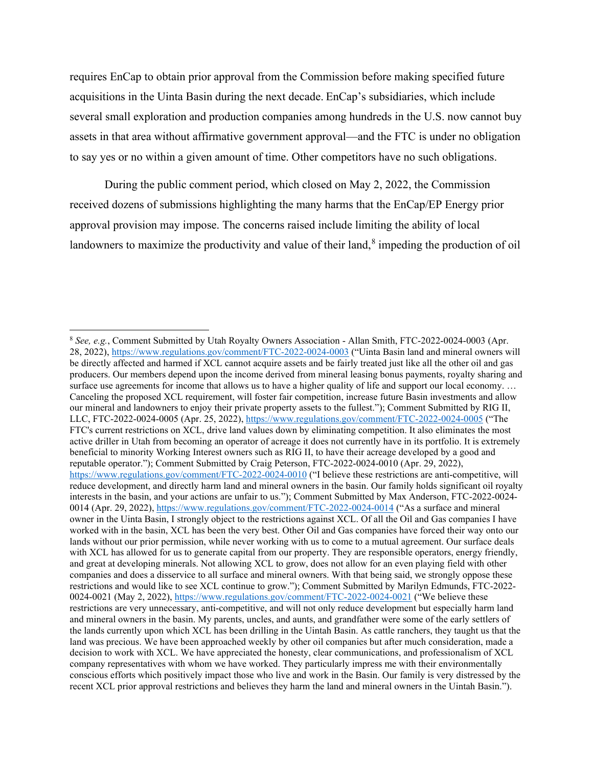requires EnCap to obtain prior approval from the Commission before making specified future acquisitions in the Uinta Basin during the next decade. EnCap's subsidiaries, which include several small exploration and production companies among hundreds in the U.S. now cannot buy assets in that area without affirmative government approval—and the FTC is under no obligation to say yes or no within a given amount of time. Other competitors have no such obligations.

During the public comment period, which closed on May 2, 2022, the Commission received dozens of submissions highlighting the many harms that the EnCap/EP Energy prior approval provision may impose. The concerns raised include limiting the ability of local landowners to maximize the productivity and value of their land, $\delta$  impeding the production of oil

<span id="page-2-0"></span><sup>8</sup> *See, e.g.*, Comment Submitted by Utah Royalty Owners Association - Allan Smith, FTC-2022-0024-0003 (Apr. 28, 2022),<https://www.regulations.gov/comment/FTC-2022-0024-0003> ("Uinta Basin land and mineral owners will be directly affected and harmed if XCL cannot acquire assets and be fairly treated just like all the other oil and gas producers. Our members depend upon the income derived from mineral leasing bonus payments, royalty sharing and surface use agreements for income that allows us to have a higher quality of life and support our local economy. ... Canceling the proposed XCL requirement, will foster fair competition, increase future Basin investments and allow our mineral and landowners to enjoy their private property assets to the fullest."); Comment Submitted by RIG II, LLC, FTC-2022-0024-0005 (Apr. 25, 2022),<https://www.regulations.gov/comment/FTC-2022-0024-0005> ("The FTC's current restrictions on XCL, drive land values down by eliminating competition. It also eliminates the most active driller in Utah from becoming an operator of acreage it does not currently have in its portfolio. It is extremely beneficial to minority Working Interest owners such as RIG II, to have their acreage developed by a good and reputable operator."); Comment Submitted by Craig Peterson, FTC-2022-0024-0010 (Apr. 29, 2022), <https://www.regulations.gov/comment/FTC-2022-0024-0010> ("I believe these restrictions are anti-competitive, will reduce development, and directly harm land and mineral owners in the basin. Our family holds significant oil royalty interests in the basin, and your actions are unfair to us."); Comment Submitted by Max Anderson, FTC-2022-0024- 0014 (Apr. 29, 2022), <https://www.regulations.gov/comment/FTC-2022-0024-0014> ("As a surface and mineral owner in the Uinta Basin, I strongly object to the restrictions against XCL. Of all the Oil and Gas companies I have worked with in the basin, XCL has been the very best. Other Oil and Gas companies have forced their way onto our lands without our prior permission, while never working with us to come to a mutual agreement. Our surface deals with XCL has allowed for us to generate capital from our property. They are responsible operators, energy friendly, and great at developing minerals. Not allowing XCL to grow, does not allow for an even playing field with other companies and does a disservice to all surface and mineral owners. With that being said, we strongly oppose these restrictions and would like to see XCL continue to grow."); Comment Submitted by Marilyn Edmunds, FTC-2022 0024-0021 (May 2, 2022), <https://www.regulations.gov/comment/FTC-2022-0024-0021> ("We believe these restrictions are very unnecessary, anti-competitive, and will not only reduce development but especially harm land and mineral owners in the basin. My parents, uncles, and aunts, and grandfather were some of the early settlers of the lands currently upon which XCL has been drilling in the Uintah Basin. As cattle ranchers, they taught us that the land was precious. We have been approached weekly by other oil companies but after much consideration, made a decision to work with XCL. We have appreciated the honesty, clear communications, and professionalism of XCL company representatives with whom we have worked. They particularly impress me with their environmentally conscious efforts which positively impact those who live and work in the Basin. Our family is very distressed by the recent XCL prior approval restrictions and believes they harm the land and mineral owners in the Uintah Basin.").